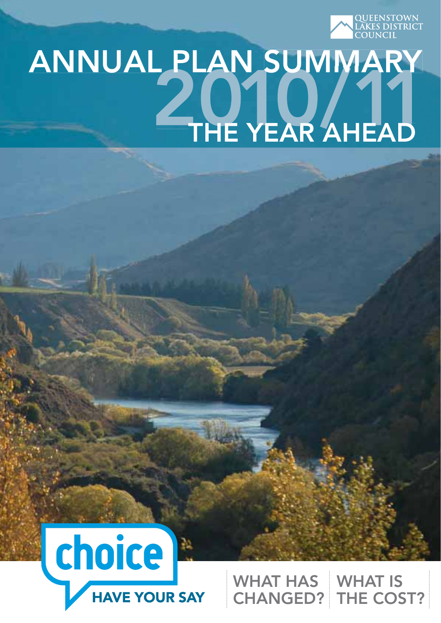

# ANNUAL PLAN SUMMARY THE YEAR AHEAD



WHAT IS CHANGED? THE COST? WHAT HAS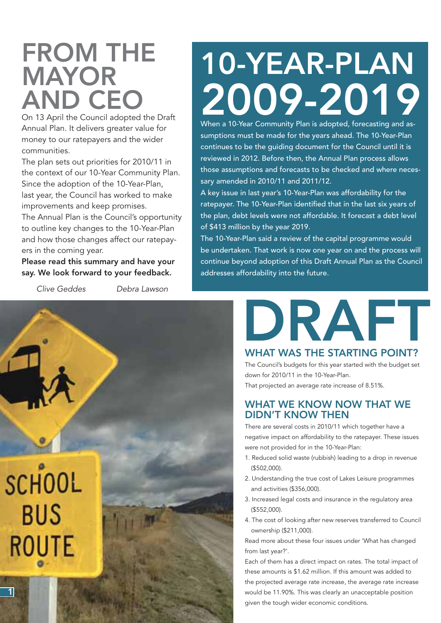## FROM THE MAYOR AND CEO

On 13 April the Council adopted the Draft Annual Plan. It delivers greater value for money to our ratepayers and the wider communities.

The plan sets out priorities for 2010/11 in the context of our 10-Year Community Plan. Since the adoption of the 10-Year-Plan, last year, the Council has worked to make improvements and keep promises.

The Annual Plan is the Council's opportunity to outline key changes to the 10-Year-Plan and how those changes affect our ratepayers in the coming year.

Please read this summary and have your say. We look forward to your feedback.

*Clive Geddes Debra Lawson*



## 10-YEAR-PLAN 2009-2019

When a 10-Year Community Plan is adopted, forecasting and assumptions must be made for the years ahead. The 10-Year-Plan continues to be the guiding document for the Council until it is reviewed in 2012. Before then, the Annual Plan process allows those assumptions and forecasts to be checked and where necessary amended in 2010/11 and 2011/12.

A key issue in last year's 10-Year-Plan was affordability for the ratepayer. The 10-Year-Plan identified that in the last six years of the plan, debt levels were not affordable. It forecast a debt level of \$413 million by the year 2019.

The 10-Year-Plan said a review of the capital programme would be undertaken. That work is now one year on and the process will continue beyond adoption of this Draft Annual Plan as the Council addresses affordability into the future.

# DRAFT

## WHAT WAS THE STARTING POINT?

The Council's budgets for this year started with the budget set down for 2010/11 in the 10-Year-Plan.

That projected an average rate increase of 8.51%.

## WHAT WE KNOW NOW THAT WE DIDN'T KNOW THEN

There are several costs in 2010/11 which together have a negative impact on affordability to the ratepayer. These issues were not provided for in the 10-Year-Plan:

- 1. Reduced solid waste (rubbish) leading to a drop in revenue (\$502,000).
- 2. Understanding the true cost of Lakes Leisure programmes and activities (\$356,000).
- 3. Increased legal costs and insurance in the regulatory area (\$552,000).
- 4. The cost of looking after new reserves transferred to Council ownership (\$211,000).

Read more about these four issues under 'What has changed from last year?'.

Each of them has a direct impact on rates. The total impact of these amounts is \$1.62 million. If this amount was added to the projected average rate increase, the average rate increase would be 11.90%. This was clearly an unacceptable position given the tough wider economic conditions.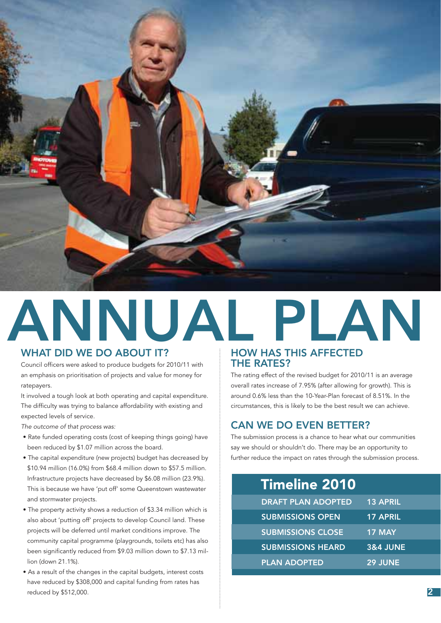

## ANNUAL PLAN WHAT DID WE DO ABOUT IT?

Council officers were asked to produce budgets for 2010/11 with an emphasis on prioritisation of projects and value for money for ratepayers.

It involved a tough look at both operating and capital expenditure. The difficulty was trying to balance affordability with existing and expected levels of service.

*The outcome of that process was:*

- Rate funded operating costs (cost of keeping things going) have been reduced by \$1.07 million across the board.
- The capital expenditure (new projects) budget has decreased by \$10.94 million (16.0%) from \$68.4 million down to \$57.5 million. Infrastructure projects have decreased by \$6.08 million (23.9%). This is because we have 'put off' some Queenstown wastewater and stormwater projects.
- The property activity shows a reduction of \$3.34 million which is also about 'putting off' projects to develop Council land. These projects will be deferred until market conditions improve. The community capital programme (playgrounds, toilets etc) has also been significantly reduced from \$9.03 million down to \$7.13 million (down 21.1%).
- As a result of the changes in the capital budgets, interest costs have reduced by \$308,000 and capital funding from rates has reduced by \$512,000.

## HOW HAS THIS AFFECTED THE RATES?

The rating effect of the revised budget for 2010/11 is an average overall rates increase of 7.95% (after allowing for growth). This is around 0.6% less than the 10-Year-Plan forecast of 8.51%. In the circumstances, this is likely to be the best result we can achieve.

## CAN WE DO EVEN BETTER?

The submission process is a chance to hear what our communities say we should or shouldn't do. There may be an opportunity to further reduce the impact on rates through the submission process.

## Timeline 2010

| <b>DRAFT PLAN ADOPTED</b> | <b>13 APRIL</b>     |
|---------------------------|---------------------|
| <b>SUBMISSIONS OPEN</b>   | <b>17 APRIL</b>     |
| <b>SUBMISSIONS CLOSE</b>  | <b>17 MAY</b>       |
| <b>SUBMISSIONS HEARD</b>  | <b>3&amp;4 JUNE</b> |
| <b>PLAN ADOPTED</b>       | 29 JUNE             |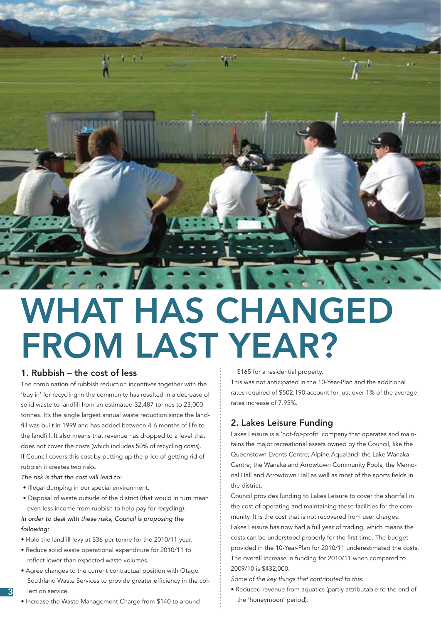

## WHAT HAS CHANGED FROM LAST YEAR?

## 1. Rubbish – the cost of less

The combination of rubbish reduction incentives together with the 'buy in' for recycling in the community has resulted in a decrease of solid waste to landfill from an estimated 32,487 tonnes to 23,000 tonnes. It's the single largest annual waste reduction since the landfill was built in 1999 and has added between 4-6 months of life to the landfill. It also means that revenue has dropped to a level that does not cover the costs (which includes 50% of recycling costs). If Council covers this cost by putting up the price of getting rid of rubbish it creates two risks.

*The risk is that the cost will lead to:* 

- Illegal dumping in our special environment.
- Disposal of waste outside of the district (that would in turn mean even less income from rubbish to help pay for recycling).

## *In order to deal with these risks, Council is proposing the following:*

- Hold the landfill levy at \$36 per tonne for the 2010/11 year.
- Reduce solid waste operational expenditure for 2010/11 to reflect lower than expected waste volumes.
- Agree changes to the current contractual position with Otago Southland Waste Services to provide greater efficiency in the collection service.
- Increase the Waste Management Charge from \$140 to around

\$165 for a residential property.

This was not anticipated in the 10-Year-Plan and the additional rates required of \$502,190 account for just over 1% of the average rates increase of 7.95%.

## 2. Lakes Leisure Funding

Lakes Leisure is a 'not-for-profit' company that operates and maintains the major recreational assets owned by the Council, like the Queenstown Events Centre; Alpine Aqualand; the Lake Wanaka Centre; the Wanaka and Arrowtown Community Pools; the Memorial Hall and Arrowtown Hall as well as most of the sports fields in the district.

Council provides funding to Lakes Leisure to cover the shortfall in the cost of operating and maintaining these facilities for the community. It is the cost that is not recovered from user charges. Lakes Leisure has now had a full year of trading, which means the costs can be understood properly for the first time. The budget provided in the 10-Year-Plan for 2010/11 underestimated the costs. The overall increase in funding for 2010/11 when compared to 2009/10 is \$432,000.

*Some of the key things that contributed to this:*

• Reduced revenue from aquatics (partly attributable to the end of the 'honeymoon' period).

3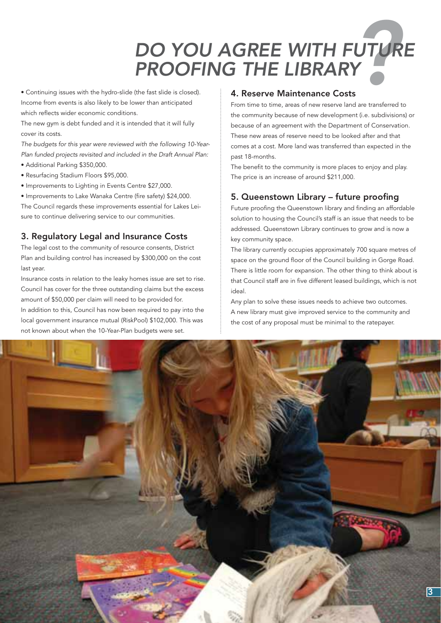## *? DO YOU AGREE WITH FUTURE PROOFING THE LIBRARY*

• Continuing issues with the hydro-slide (the fast slide is closed). Income from events is also likely to be lower than anticipated which reflects wider economic conditions.

The new gym is debt funded and it is intended that it will fully cover its costs.

*The budgets for this year were reviewed with the following 10-Year-Plan funded projects revisited and included in the Draft Annual Plan:*

- Additional Parking \$350,000.
- Resurfacing Stadium Floors \$95,000.
- Improvements to Lighting in Events Centre \$27,000.
- Improvements to Lake Wanaka Centre (fire safety) \$24,000.

The Council regards these improvements essential for Lakes Leisure to continue delivering service to our communities.

## 3. Regulatory Legal and Insurance Costs

The legal cost to the community of resource consents, District Plan and building control has increased by \$300,000 on the cost last year.

Insurance costs in relation to the leaky homes issue are set to rise. Council has cover for the three outstanding claims but the excess amount of \$50,000 per claim will need to be provided for. In addition to this, Council has now been required to pay into the local government insurance mutual (RiskPool) \$102,000. This was not known about when the 10-Year-Plan budgets were set.

## 4. Reserve Maintenance Costs

From time to time, areas of new reserve land are transferred to the community because of new development (i.e. subdivisions) or because of an agreement with the Department of Conservation. These new areas of reserve need to be looked after and that comes at a cost. More land was transferred than expected in the past 18-months.

The benefit to the community is more places to enjoy and play. The price is an increase of around \$211,000.

## 5. Queenstown Library – future proofing

Future proofing the Queenstown library and finding an affordable solution to housing the Council's staff is an issue that needs to be addressed. Queenstown Library continues to grow and is now a key community space.

The library currently occupies approximately 700 square metres of space on the ground floor of the Council building in Gorge Road. There is little room for expansion. The other thing to think about is that Council staff are in five different leased buildings, which is not ideal.

Any plan to solve these issues needs to achieve two outcomes. A new library must give improved service to the community and the cost of any proposal must be minimal to the ratepayer.

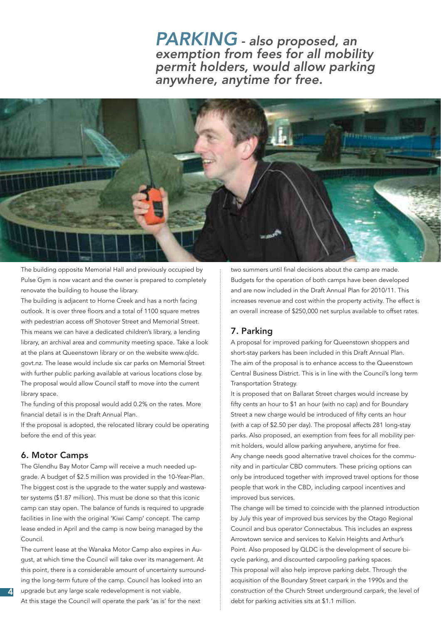## *PARKING - also proposed, an exemption from fees for all mobility permit holders, would allow parking anywhere, anytime for free.*



The building opposite Memorial Hall and previously occupied by Pulse Gym is now vacant and the owner is prepared to completely renovate the building to house the library.

The building is adjacent to Horne Creek and has a north facing outlook. It is over three floors and a total of 1100 square metres with pedestrian access off Shotover Street and Memorial Street. This means we can have a dedicated children's library, a lending library, an archival area and community meeting space. Take a look at the plans at Queenstown library or on the website www.qldc. govt.nz. The lease would include six car parks on Memorial Street with further public parking available at various locations close by. The proposal would allow Council staff to move into the current library space.

The funding of this proposal would add 0.2% on the rates. More financial detail is in the Draft Annual Plan.

If the proposal is adopted, the relocated library could be operating before the end of this year.

## 6. Motor Camps

4

The Glendhu Bay Motor Camp will receive a much needed upgrade. A budget of \$2.5 million was provided in the 10-Year-Plan. The biggest cost is the upgrade to the water supply and wastewater systems (\$1.87 million). This must be done so that this iconic camp can stay open. The balance of funds is required to upgrade facilities in line with the original 'Kiwi Camp' concept. The camp lease ended in April and the camp is now being managed by the Council.

The current lease at the Wanaka Motor Camp also expires in August, at which time the Council will take over its management. At this point, there is a considerable amount of uncertainty surrounding the long-term future of the camp. Council has looked into an upgrade but any large scale redevelopment is not viable.

At this stage the Council will operate the park 'as is' for the next

two summers until final decisions about the camp are made. Budgets for the operation of both camps have been developed and are now included in the Draft Annual Plan for 2010/11. This increases revenue and cost within the property activity. The effect is an overall increase of \$250,000 net surplus available to offset rates.

## 7. Parking

A proposal for improved parking for Queenstown shoppers and short-stay parkers has been included in this Draft Annual Plan. The aim of the proposal is to enhance access to the Queenstown Central Business District. This is in line with the Council's long term Transportation Strategy.

It is proposed that on Ballarat Street charges would increase by fifty cents an hour to \$1 an hour (with no cap) and for Boundary Street a new charge would be introduced of fifty cents an hour (with a cap of \$2.50 per day). The proposal affects 281 long-stay parks. Also proposed, an exemption from fees for all mobility permit holders, would allow parking anywhere, anytime for free. Any change needs good alternative travel choices for the community and in particular CBD commuters. These pricing options can only be introduced together with improved travel options for those people that work in the CBD, including carpool incentives and improved bus services.

The change will be timed to coincide with the planned introduction by July this year of improved bus services by the Otago Regional Council and bus operator Connectabus. This includes an express Arrowtown service and services to Kelvin Heights and Arthur's Point. Also proposed by QLDC is the development of secure bicycle parking, and discounted carpooling parking spaces. This proposal will also help improve parking debt. Through the acquisition of the Boundary Street carpark in the 1990s and the construction of the Church Street underground carpark, the level of debt for parking activities sits at \$1.1 million.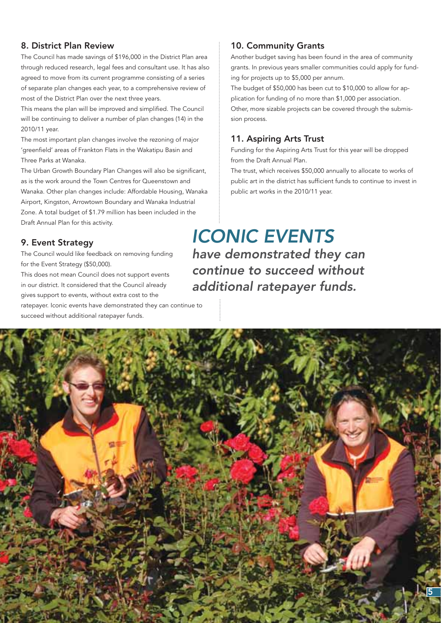## 8. District Plan Review

The Council has made savings of \$196,000 in the District Plan area through reduced research, legal fees and consultant use. It has also agreed to move from its current programme consisting of a series of separate plan changes each year, to a comprehensive review of most of the District Plan over the next three years.

This means the plan will be improved and simplified. The Council will be continuing to deliver a number of plan changes (14) in the 2010/11 year.

The most important plan changes involve the rezoning of major 'greenfield' areas of Frankton Flats in the Wakatipu Basin and Three Parks at Wanaka.

The Urban Growth Boundary Plan Changes will also be significant, as is the work around the Town Centres for Queenstown and Wanaka. Other plan changes include: Affordable Housing, Wanaka Airport, Kingston, Arrowtown Boundary and Wanaka Industrial Zone. A total budget of \$1.79 million has been included in the Draft Annual Plan for this activity.

## 9. Event Strategy

The Council would like feedback on removing funding for the Event Strategy (\$50,000).

This does not mean Council does not support events in our district. It considered that the Council already gives support to events, without extra cost to the ratepayer. Iconic events have demonstrated they can continue to

succeed without additional ratepayer funds.

## 10. Community Grants

Another budget saving has been found in the area of community grants. In previous years smaller communities could apply for funding for projects up to \$5,000 per annum.

The budget of \$50,000 has been cut to \$10,000 to allow for application for funding of no more than \$1,000 per association. Other, more sizable projects can be covered through the submission process.

## 11. Aspiring Arts Trust

Funding for the Aspiring Arts Trust for this year will be dropped from the Draft Annual Plan.

The trust, which receives \$50,000 annually to allocate to works of public art in the district has sufficient funds to continue to invest in public art works in the 2010/11 year.

## *ICONIC EVENTS*

*have demonstrated they can continue to succeed without additional ratepayer funds.*

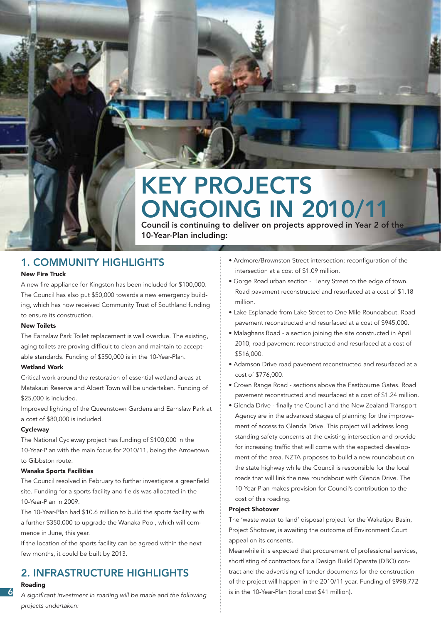## KEY PROJECTS ONGOING IN 2010/11

Council is continuing to deliver on projects approved in Year 2 of the 10-Year-Plan including:

## 1. COMMUNITY HIGHLIGHTS

### New Fire Truck

A new fire appliance for Kingston has been included for \$100,000. The Council has also put \$50,000 towards a new emergency building, which has now received Community Trust of Southland funding to ensure its construction.

### New Toilets

The Earnslaw Park Toilet replacement is well overdue. The existing, aging toilets are proving difficult to clean and maintain to acceptable standards. Funding of \$550,000 is in the 10-Year-Plan.

### Wetland Work

Critical work around the restoration of essential wetland areas at Matakauri Reserve and Albert Town will be undertaken. Funding of \$25,000 is included.

Improved lighting of the Queenstown Gardens and Earnslaw Park at a cost of \$80,000 is included.

### **Cycleway**

The National Cycleway project has funding of \$100,000 in the 10-Year-Plan with the main focus for 2010/11, being the Arrowtown to Gibbston route.

### Wanaka Sports Facilities

The Council resolved in February to further investigate a greenfield site. Funding for a sports facility and fields was allocated in the 10-Year-Plan in 2009.

The 10-Year-Plan had \$10.6 million to build the sports facility with a further \$350,000 to upgrade the Wanaka Pool, which will commence in June, this year.

If the location of the sports facility can be agreed within the next few months, it could be built by 2013.

## 2. INFRASTRUCTURE HIGHLIGHTS

### Roading

6

A significant investment in roading will be made and the following *projects undertaken:*

- Ardmore/Brownston Street intersection; reconfiguration of the intersection at a cost of \$1.09 million.
- Gorge Road urban section Henry Street to the edge of town. Road pavement reconstructed and resurfaced at a cost of \$1.18 million.
- Lake Esplanade from Lake Street to One Mile Roundabout. Road pavement reconstructed and resurfaced at a cost of \$945,000.
- Malaghans Road a section joining the site constructed in April 2010; road pavement reconstructed and resurfaced at a cost of \$516,000.
- Adamson Drive road pavement reconstructed and resurfaced at a cost of \$776,000.
- Crown Range Road sections above the Eastbourne Gates. Road pavement reconstructed and resurfaced at a cost of \$1.24 million.
- Glenda Drive finally the Council and the New Zealand Transport Agency are in the advanced stages of planning for the improvement of access to Glenda Drive. This project will address long standing safety concerns at the existing intersection and provide for increasing traffic that will come with the expected development of the area. NZTA proposes to build a new roundabout on the state highway while the Council is responsible for the local roads that will link the new roundabout with Glenda Drive. The 10-Year-Plan makes provision for Council's contribution to the cost of this roading.

#### Project Shotover

The 'waste water to land' disposal project for the Wakatipu Basin, Project Shotover, is awaiting the outcome of Environment Court appeal on its consents.

Meanwhile it is expected that procurement of professional services, shortlisting of contractors for a Design Build Operate (DBO) contract and the advertising of tender documents for the construction of the project will happen in the 2010/11 year. Funding of \$998,772 is in the 10-Year-Plan (total cost \$41 million).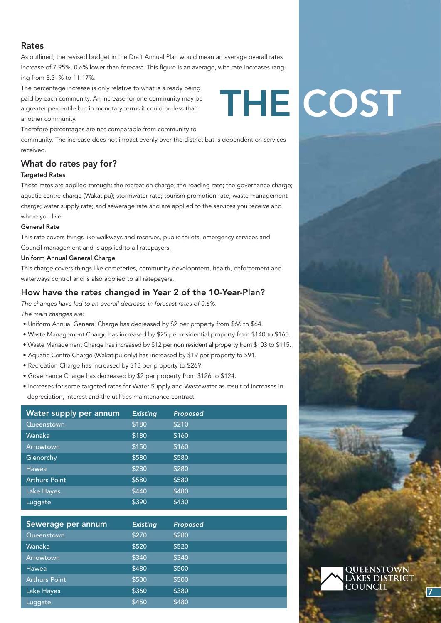## Rates

As outlined, the revised budget in the Draft Annual Plan would mean an average overall rates increase of 7.95%, 0.6% lower than forecast. This figure is an average, with rate increases ranging from 3.31% to 11.17%.

The percentage increase is only relative to what is already being paid by each community. An increase for one community may be a greater percentile but in monetary terms it could be less than another community.

Therefore percentages are not comparable from community to

community. The increase does not impact evenly over the district but is dependent on services received.

## What do rates pay for?

### Targeted Rates Targeted

These rates are applied through: the recreation charge; the roading rate; the governance charge; aquatic centre charge (Wakatipu); stormwater rate; tourism promotion rate; waste management charge; water supply rate; and sewerage rate and are applied to the services you receive and w where you live. you

### General Rate General R

This rate covers things like walkways and reserves, public toilets, emergency services and c Council management and is applied to all ratepayers.

### Uniform Annual General Charge

This charge covers things like cemeteries, community development, health, enforcement and waterways control and is also applied to all ratepayers.

## How have the rates changed in Year 2 of the 10-Year-Plan?

*The changes have led to an overall decrease in forecast rates of 0.6%.* 

*The main changes are:*

- Uniform Annual General Charge has decreased by \$2 per property from \$66 to \$64.
- Waste Management Charge has increased by \$25 per residential property from \$140 to \$165.
- Waste Management Charge has increased by \$12 per non residential property from \$103 to \$115.
- Aquatic Centre Charge (Wakatipu only) has increased by \$19 per property to \$91.
- Recreation Charge has increased by \$18 per property to \$269.
- Governance Charge has decreased by \$2 per property from \$126 to \$124.
- Increases for some targeted rates for Water Supply and Wastewater as result of increases in depreciation, interest and the utilities maintenance contract.

| Water supply per annum | <b>Existing</b> | Proposed |
|------------------------|-----------------|----------|
| Queenstown             | \$180           | \$210    |
| Wanaka                 | \$180           | \$160    |
| Arrowtown              | \$150           | \$160    |
| Glenorchy              | \$580           | \$580    |
| Hawea                  | \$280           | \$280    |
| <b>Arthurs Point</b>   | \$580           | \$580    |
| Lake Hayes             | \$440           | \$480    |
| Luggate                | \$390           | \$430    |

| Sewerage per annum   | <b>Existing</b> | Proposed |
|----------------------|-----------------|----------|
| Queenstown           | \$270           | \$280    |
| Wanaka               | \$520           | \$520    |
| Arrowtown            | \$340           | \$340    |
| Hawea                | \$480           | \$500    |
| <b>Arthurs Point</b> | \$500           | \$500    |
| Lake Hayes           | \$360           | \$380    |
| Luggate              | \$450           | \$480    |

# THE COST

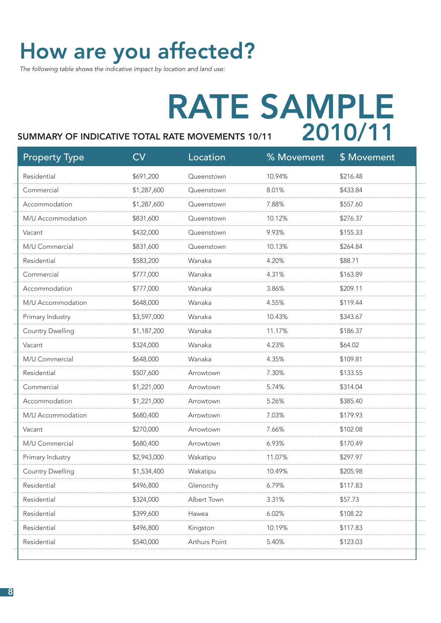## How are you affected?

*The following table shows the indicative impact by location and land use:*

## RATE SAMPLE 2010/11 SUMMARY OF INDICATIVE TOTAL RATE MOVEMENTS 10/11

## Property Type CV CV Location % Movement \$ Movement Residential \$691,200 Queenstown 10.94% \$216.48 Commercial \$1,287,600 Queenstown 8.01% \$433.84 Accommodation \$1,287,600 Queenstown 7.88% \$557.60 M/U Accommodation \$831,600 Queenstown 10.12% \$276.37 Vacant \$432,000 Queenstown 9.93% \$155.33 M/U Commercial \$831,600 Queenstown 10.13% \$264.84 Residential \$583,200 Wanaka 4.20% \$88.71 Commercial \$777,000 Wanaka 4.31% \$163.89 Accommodation \$777,000 Wanaka 3.86% \$209.11 M/U Accommodation \$648,000 Wanaka 4.55% \$119.44 Primary Industry **\$3,597,000** Wanaka 10.43% \$343.67 Country Dwelling \$1,187,200 Wanaka 11.17% \$186.37 Vacant \$324,000 Wanaka 4.23% \$64.02 M/U Commercial \$648,000 Wanaka 4.35% \$109.81 Residential \$507,600 Arrowtown 7.30% \$133.55 Commercial \$1,221,000 Arrowtown 5.74% \$314.04 Accommodation \$1,221,000 Arrowtown 5.26% \$385.40 M/U Accommodation \$680,400 Arrowtown 7.03% \$179.93 Vacant \$270,000 Arrowtown 7.66% \$102.08 M/U Commercial \$680,400 Arrowtown 6.93% \$170.49 Primary Industry \$2,943,000 Wakatipu 11.07% \$297.97 Country Dwelling \$1,534,400 Wakatipu 10.49% \$205.98 Residential \$496,800 Glenorchy 6.79% \$117.83 Residential \$324,000 Albert Town 3.31% \$57.73 Residential \$399,600 Hawea 6.02% \$108.22 Residential \$496,800 Kingston 10.19% \$117.83 Residential \$540,000 Arthurs Point 5.40% \$123.03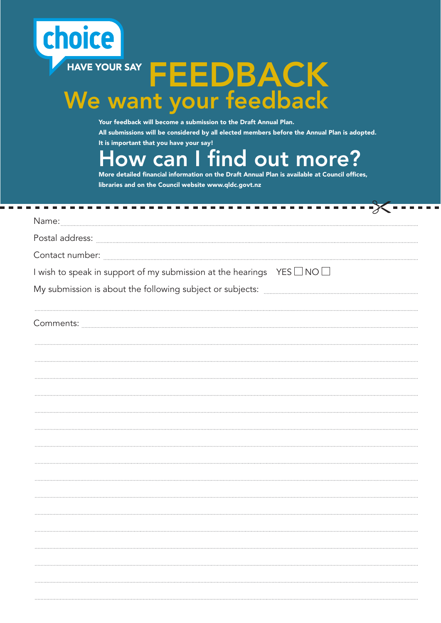## choice **FEEDBACK** We want your feedback

 $\sim$  100  $\pm$ 

Your feedback will become a submission to the Draft Annual Plan. All submissions will be considered by all elected members before the Annual Plan is adopted. It is important that you have your say!

ow can I find out more?

More detailed financial information on the Draft Annual Plan is available at Council offices, libraries and on the Council website www.qldc.govt.nz

| -------                                                                                                         |
|-----------------------------------------------------------------------------------------------------------------|
|                                                                                                                 |
| Postal address: www.communication.com/www.communication.com/www.communication.com/www.communication.com/www.com |
|                                                                                                                 |
| I wish to speak in support of my submission at the hearings YES $\Box$ NO $\Box$                                |
|                                                                                                                 |
|                                                                                                                 |
|                                                                                                                 |
|                                                                                                                 |
|                                                                                                                 |
|                                                                                                                 |
|                                                                                                                 |
|                                                                                                                 |
|                                                                                                                 |
|                                                                                                                 |
|                                                                                                                 |
|                                                                                                                 |
|                                                                                                                 |